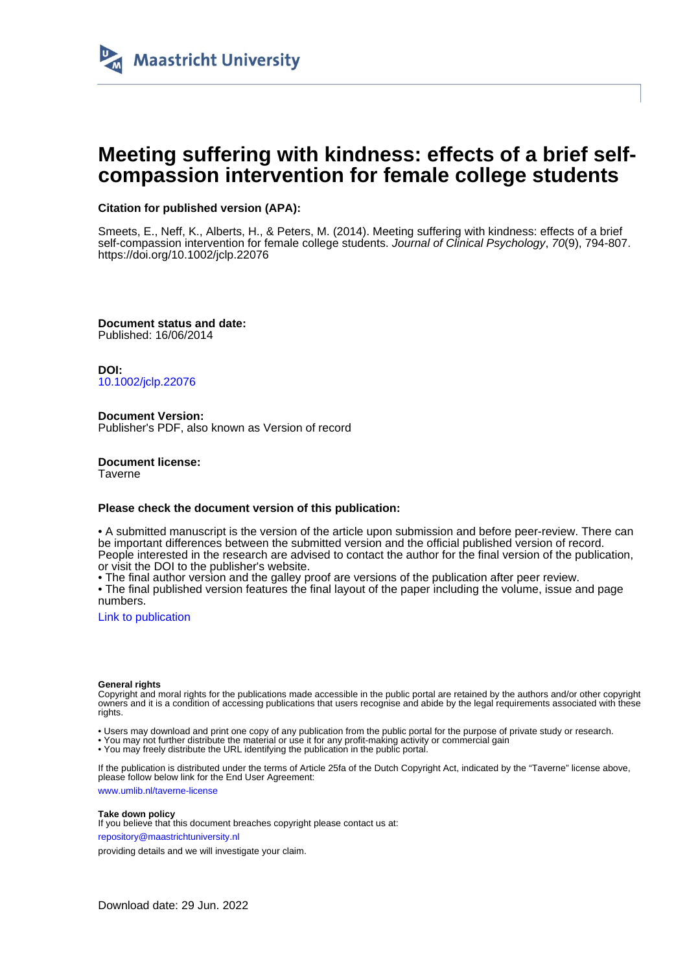

# **Meeting suffering with kindness: effects of a brief selfcompassion intervention for female college students**

### **Citation for published version (APA):**

Smeets, E., Neff, K., Alberts, H., & Peters, M. (2014). Meeting suffering with kindness: effects of a brief self-compassion intervention for female college students. Journal of Clinical Psychology, 70(9), 794-807. <https://doi.org/10.1002/jclp.22076>

**Document status and date:** Published: 16/06/2014

**DOI:** [10.1002/jclp.22076](https://doi.org/10.1002/jclp.22076)

**Document Version:** Publisher's PDF, also known as Version of record

**Document license: Taverne** 

#### **Please check the document version of this publication:**

• A submitted manuscript is the version of the article upon submission and before peer-review. There can be important differences between the submitted version and the official published version of record. People interested in the research are advised to contact the author for the final version of the publication, or visit the DOI to the publisher's website.

• The final author version and the galley proof are versions of the publication after peer review.

• The final published version features the final layout of the paper including the volume, issue and page numbers.

[Link to publication](https://cris.maastrichtuniversity.nl/en/publications/3632a453-0899-4346-8820-02cc23ddd6b9)

#### **General rights**

Copyright and moral rights for the publications made accessible in the public portal are retained by the authors and/or other copyright owners and it is a condition of accessing publications that users recognise and abide by the legal requirements associated with these rights.

• Users may download and print one copy of any publication from the public portal for the purpose of private study or research.

• You may not further distribute the material or use it for any profit-making activity or commercial gain

• You may freely distribute the URL identifying the publication in the public portal.

If the publication is distributed under the terms of Article 25fa of the Dutch Copyright Act, indicated by the "Taverne" license above, please follow below link for the End User Agreement:

www.umlib.nl/taverne-license

#### **Take down policy**

If you believe that this document breaches copyright please contact us at: repository@maastrichtuniversity.nl

providing details and we will investigate your claim.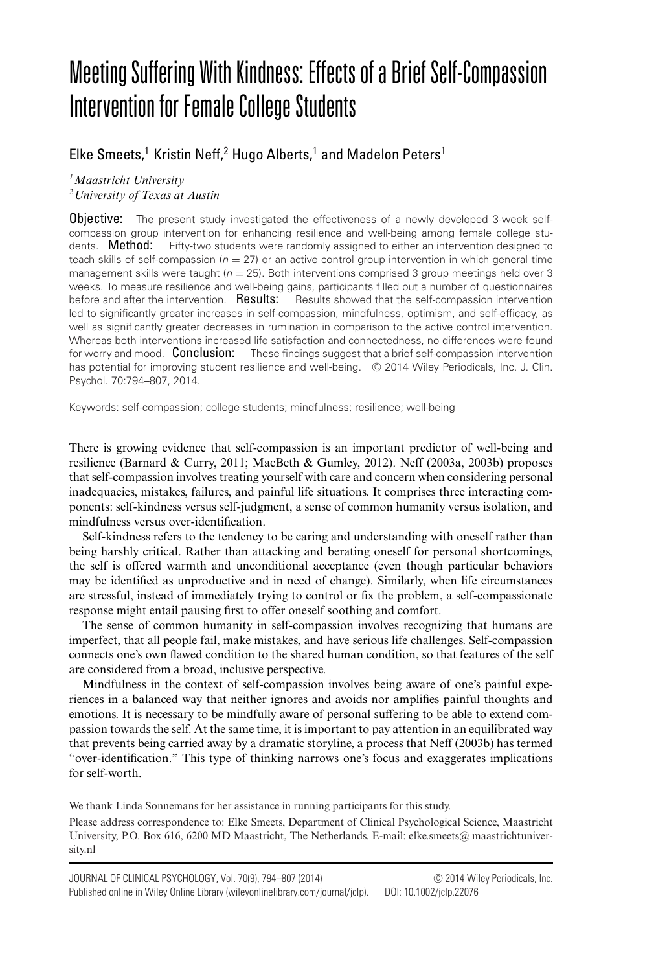# Meeting Suffering With Kindness: Effects of a Brief Self-Compassion Intervention for Female College Students

## Elke Smeets,<sup>1</sup> Kristin Neff,<sup>2</sup> Hugo Alberts,<sup>1</sup> and Madelon Peters<sup>1</sup>

*1Maastricht University*

*2University of Texas at Austin*

**Objective:** The present study investigated the effectiveness of a newly developed 3-week selfcompassion group intervention for enhancing resilience and well-being among female college students. **Method:** Fifty-two students were randomly assigned to either an intervention designed to teach skills of self-compassion ( $n = 27$ ) or an active control group intervention in which general time management skills were taught ( $n = 25$ ). Both interventions comprised 3 group meetings held over 3 weeks. To measure resilience and well-being gains, participants filled out a number of questionnaires before and after the intervention. **Results:** Results showed that the self-compassion intervention led to significantly greater increases in self-compassion, mindfulness, optimism, and self-efficacy, as well as significantly greater decreases in rumination in comparison to the active control intervention. Whereas both interventions increased life satisfaction and connectedness, no differences were found for worry and mood. **Conclusion:** These findings suggest that a brief self-compassion intervention has potential for improving student resilience and well-being. -<sup>C</sup> 2014 Wiley Periodicals, Inc. J. Clin. Psychol. 70:794–807, 2014.

Keywords: self-compassion; college students; mindfulness; resilience; well-being

There is growing evidence that self-compassion is an important predictor of well-being and resilience (Barnard & Curry, 2011; MacBeth & Gumley, 2012). Neff (2003a, 2003b) proposes that self-compassion involves treating yourself with care and concern when considering personal inadequacies, mistakes, failures, and painful life situations. It comprises three interacting components: self-kindness versus self-judgment, a sense of common humanity versus isolation, and mindfulness versus over-identification.

Self-kindness refers to the tendency to be caring and understanding with oneself rather than being harshly critical. Rather than attacking and berating oneself for personal shortcomings, the self is offered warmth and unconditional acceptance (even though particular behaviors may be identified as unproductive and in need of change). Similarly, when life circumstances are stressful, instead of immediately trying to control or fix the problem, a self-compassionate response might entail pausing first to offer oneself soothing and comfort.

The sense of common humanity in self-compassion involves recognizing that humans are imperfect, that all people fail, make mistakes, and have serious life challenges. Self-compassion connects one's own flawed condition to the shared human condition, so that features of the self are considered from a broad, inclusive perspective.

Mindfulness in the context of self-compassion involves being aware of one's painful experiences in a balanced way that neither ignores and avoids nor amplifies painful thoughts and emotions. It is necessary to be mindfully aware of personal suffering to be able to extend compassion towards the self. At the same time, it is important to pay attention in an equilibrated way that prevents being carried away by a dramatic storyline, a process that Neff (2003b) has termed "over-identification." This type of thinking narrows one's focus and exaggerates implications for self-worth.

<sup>C</sup> 2014 Wiley Periodicals, Inc.

We thank Linda Sonnemans for her assistance in running participants for this study.

Please address correspondence to: Elke Smeets, Department of Clinical Psychological Science, Maastricht University, P.O. Box 616, 6200 MD Maastricht, The Netherlands. E-mail: elke.smeets@ maastrichtuniversity.nl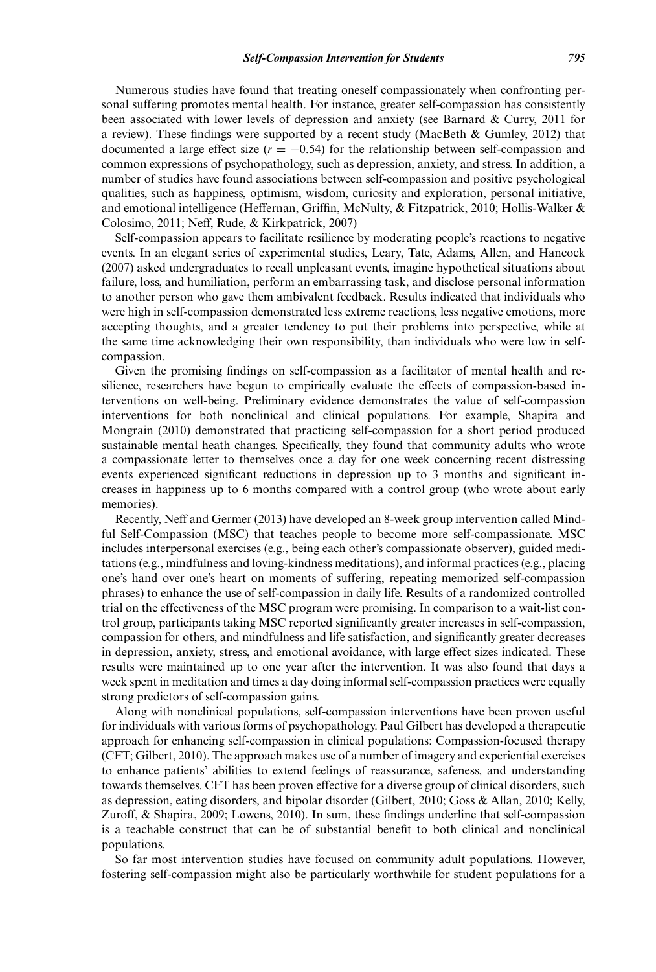Numerous studies have found that treating oneself compassionately when confronting personal suffering promotes mental health. For instance, greater self-compassion has consistently been associated with lower levels of depression and anxiety (see Barnard & Curry, 2011 for a review). These findings were supported by a recent study (MacBeth & Gumley, 2012) that documented a large effect size  $(r = -0.54)$  for the relationship between self-compassion and common expressions of psychopathology, such as depression, anxiety, and stress. In addition, a number of studies have found associations between self-compassion and positive psychological qualities, such as happiness, optimism, wisdom, curiosity and exploration, personal initiative, and emotional intelligence (Heffernan, Griffin, McNulty, & Fitzpatrick, 2010; Hollis-Walker & Colosimo, 2011; Neff, Rude, & Kirkpatrick, 2007)

Self-compassion appears to facilitate resilience by moderating people's reactions to negative events. In an elegant series of experimental studies, Leary, Tate, Adams, Allen, and Hancock (2007) asked undergraduates to recall unpleasant events, imagine hypothetical situations about failure, loss, and humiliation, perform an embarrassing task, and disclose personal information to another person who gave them ambivalent feedback. Results indicated that individuals who were high in self-compassion demonstrated less extreme reactions, less negative emotions, more accepting thoughts, and a greater tendency to put their problems into perspective, while at the same time acknowledging their own responsibility, than individuals who were low in selfcompassion.

Given the promising findings on self-compassion as a facilitator of mental health and resilience, researchers have begun to empirically evaluate the effects of compassion-based interventions on well-being. Preliminary evidence demonstrates the value of self-compassion interventions for both nonclinical and clinical populations. For example, Shapira and Mongrain (2010) demonstrated that practicing self-compassion for a short period produced sustainable mental heath changes. Specifically, they found that community adults who wrote a compassionate letter to themselves once a day for one week concerning recent distressing events experienced significant reductions in depression up to 3 months and significant increases in happiness up to 6 months compared with a control group (who wrote about early memories).

Recently, Neff and Germer (2013) have developed an 8-week group intervention called Mindful Self-Compassion (MSC) that teaches people to become more self-compassionate. MSC includes interpersonal exercises (e.g., being each other's compassionate observer), guided meditations (e.g., mindfulness and loving-kindness meditations), and informal practices (e.g., placing one's hand over one's heart on moments of suffering, repeating memorized self-compassion phrases) to enhance the use of self-compassion in daily life. Results of a randomized controlled trial on the effectiveness of the MSC program were promising. In comparison to a wait-list control group, participants taking MSC reported significantly greater increases in self-compassion, compassion for others, and mindfulness and life satisfaction, and significantly greater decreases in depression, anxiety, stress, and emotional avoidance, with large effect sizes indicated. These results were maintained up to one year after the intervention. It was also found that days a week spent in meditation and times a day doing informal self-compassion practices were equally strong predictors of self-compassion gains.

Along with nonclinical populations, self-compassion interventions have been proven useful for individuals with various forms of psychopathology. Paul Gilbert has developed a therapeutic approach for enhancing self-compassion in clinical populations: Compassion-focused therapy (CFT; Gilbert, 2010). The approach makes use of a number of imagery and experiential exercises to enhance patients' abilities to extend feelings of reassurance, safeness, and understanding towards themselves. CFT has been proven effective for a diverse group of clinical disorders, such as depression, eating disorders, and bipolar disorder (Gilbert, 2010; Goss & Allan, 2010; Kelly, Zuroff, & Shapira, 2009; Lowens, 2010). In sum, these findings underline that self-compassion is a teachable construct that can be of substantial benefit to both clinical and nonclinical populations.

So far most intervention studies have focused on community adult populations. However, fostering self-compassion might also be particularly worthwhile for student populations for a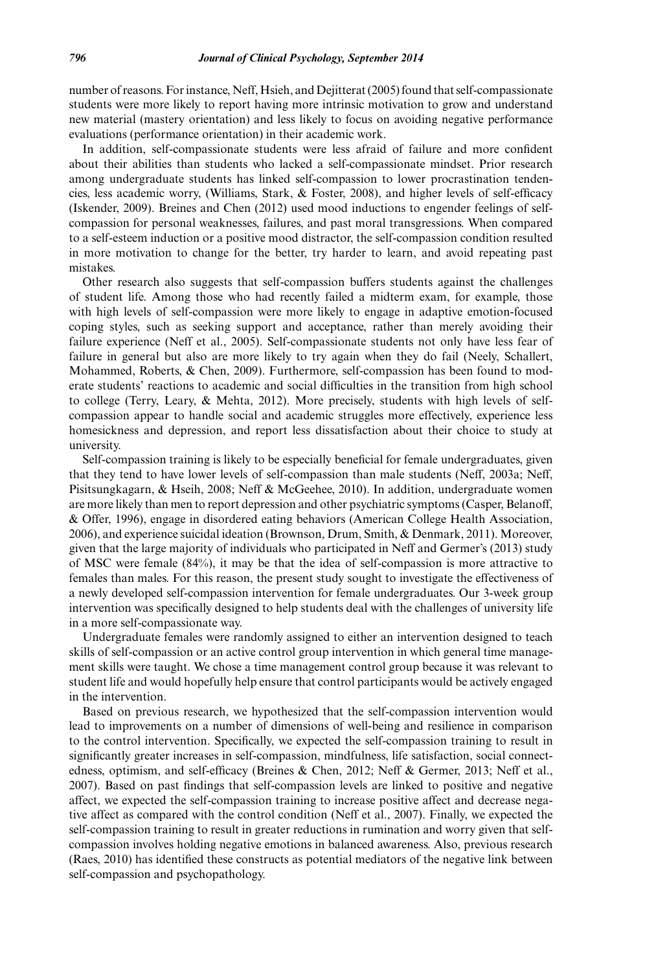number of reasons. For instance, Neff, Hsieh, and Dejitterat (2005) found that self-compassionate students were more likely to report having more intrinsic motivation to grow and understand new material (mastery orientation) and less likely to focus on avoiding negative performance evaluations (performance orientation) in their academic work.

In addition, self-compassionate students were less afraid of failure and more confident about their abilities than students who lacked a self-compassionate mindset. Prior research among undergraduate students has linked self-compassion to lower procrastination tendencies, less academic worry, (Williams, Stark, & Foster, 2008), and higher levels of self-efficacy (Iskender, 2009). Breines and Chen (2012) used mood inductions to engender feelings of selfcompassion for personal weaknesses, failures, and past moral transgressions. When compared to a self-esteem induction or a positive mood distractor, the self-compassion condition resulted in more motivation to change for the better, try harder to learn, and avoid repeating past mistakes.

Other research also suggests that self-compassion buffers students against the challenges of student life. Among those who had recently failed a midterm exam, for example, those with high levels of self-compassion were more likely to engage in adaptive emotion-focused coping styles, such as seeking support and acceptance, rather than merely avoiding their failure experience (Neff et al., 2005). Self-compassionate students not only have less fear of failure in general but also are more likely to try again when they do fail (Neely, Schallert, Mohammed, Roberts, & Chen, 2009). Furthermore, self-compassion has been found to moderate students' reactions to academic and social difficulties in the transition from high school to college (Terry, Leary, & Mehta, 2012). More precisely, students with high levels of selfcompassion appear to handle social and academic struggles more effectively, experience less homesickness and depression, and report less dissatisfaction about their choice to study at university.

Self-compassion training is likely to be especially beneficial for female undergraduates, given that they tend to have lower levels of self-compassion than male students (Neff, 2003a; Neff, Pisitsungkagarn, & Hseih, 2008; Neff & McGeehee, 2010). In addition, undergraduate women are more likely than men to report depression and other psychiatric symptoms (Casper, Belanoff, & Offer, 1996), engage in disordered eating behaviors (American College Health Association, 2006), and experience suicidal ideation (Brownson, Drum, Smith, & Denmark, 2011). Moreover, given that the large majority of individuals who participated in Neff and Germer's (2013) study of MSC were female (84%), it may be that the idea of self-compassion is more attractive to females than males. For this reason, the present study sought to investigate the effectiveness of a newly developed self-compassion intervention for female undergraduates. Our 3-week group intervention was specifically designed to help students deal with the challenges of university life in a more self-compassionate way.

Undergraduate females were randomly assigned to either an intervention designed to teach skills of self-compassion or an active control group intervention in which general time management skills were taught. We chose a time management control group because it was relevant to student life and would hopefully help ensure that control participants would be actively engaged in the intervention.

Based on previous research, we hypothesized that the self-compassion intervention would lead to improvements on a number of dimensions of well-being and resilience in comparison to the control intervention. Specifically, we expected the self-compassion training to result in significantly greater increases in self-compassion, mindfulness, life satisfaction, social connectedness, optimism, and self-efficacy (Breines & Chen, 2012; Neff & Germer, 2013; Neff et al., 2007). Based on past findings that self-compassion levels are linked to positive and negative affect, we expected the self-compassion training to increase positive affect and decrease negative affect as compared with the control condition (Neff et al., 2007). Finally, we expected the self-compassion training to result in greater reductions in rumination and worry given that selfcompassion involves holding negative emotions in balanced awareness. Also, previous research (Raes, 2010) has identified these constructs as potential mediators of the negative link between self-compassion and psychopathology.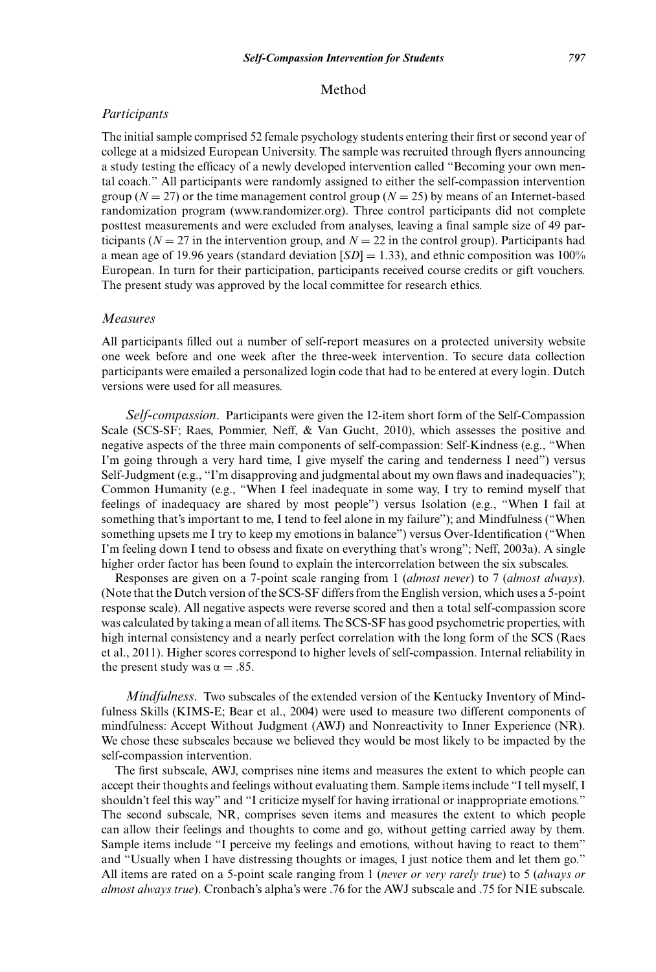#### Method

#### *Participants*

The initial sample comprised 52 female psychology students entering their first or second year of college at a midsized European University. The sample was recruited through flyers announcing a study testing the efficacy of a newly developed intervention called "Becoming your own mental coach." All participants were randomly assigned to either the self-compassion intervention group ( $N = 27$ ) or the time management control group ( $N = 25$ ) by means of an Internet-based randomization program (www.randomizer.org). Three control participants did not complete posttest measurements and were excluded from analyses, leaving a final sample size of 49 participants ( $N = 27$  in the intervention group, and  $N = 22$  in the control group). Participants had a mean age of 19.96 years (standard deviation  $[SD] = 1.33$ ), and ethnic composition was 100% European. In turn for their participation, participants received course credits or gift vouchers. The present study was approved by the local committee for research ethics.

#### *Measures*

All participants filled out a number of self-report measures on a protected university website one week before and one week after the three-week intervention. To secure data collection participants were emailed a personalized login code that had to be entered at every login. Dutch versions were used for all measures.

*Self-compassion*. Participants were given the 12-item short form of the Self-Compassion Scale (SCS-SF; Raes, Pommier, Neff, & Van Gucht, 2010), which assesses the positive and negative aspects of the three main components of self-compassion: Self-Kindness (e.g., "When I'm going through a very hard time, I give myself the caring and tenderness I need") versus Self-Judgment (e.g., "I'm disapproving and judgmental about my own flaws and inadequacies"); Common Humanity (e.g., "When I feel inadequate in some way, I try to remind myself that feelings of inadequacy are shared by most people") versus Isolation (e.g., "When I fail at something that's important to me, I tend to feel alone in my failure"); and Mindfulness ("When something upsets me I try to keep my emotions in balance") versus Over-Identification ("When I'm feeling down I tend to obsess and fixate on everything that's wrong"; Neff, 2003a). A single higher order factor has been found to explain the intercorrelation between the six subscales.

Responses are given on a 7-point scale ranging from 1 (*almost never*) to 7 (*almost always*). (Note that the Dutch version of the SCS-SF differs from the English version, which uses a 5-point response scale). All negative aspects were reverse scored and then a total self-compassion score was calculated by taking a mean of all items. The SCS-SF has good psychometric properties, with high internal consistency and a nearly perfect correlation with the long form of the SCS (Raes et al., 2011). Higher scores correspond to higher levels of self-compassion. Internal reliability in the present study was  $\alpha = .85$ .

*Mindfulness*. Two subscales of the extended version of the Kentucky Inventory of Mindfulness Skills (KIMS-E; Bear et al., 2004) were used to measure two different components of mindfulness: Accept Without Judgment (AWJ) and Nonreactivity to Inner Experience (NR). We chose these subscales because we believed they would be most likely to be impacted by the self-compassion intervention.

The first subscale, AWJ, comprises nine items and measures the extent to which people can accept their thoughts and feelings without evaluating them. Sample items include "I tell myself, I shouldn't feel this way" and "I criticize myself for having irrational or inappropriate emotions." The second subscale, NR, comprises seven items and measures the extent to which people can allow their feelings and thoughts to come and go, without getting carried away by them. Sample items include "I perceive my feelings and emotions, without having to react to them" and "Usually when I have distressing thoughts or images, I just notice them and let them go." All items are rated on a 5-point scale ranging from 1 (*never or very rarely true*) to 5 (*always or almost always true*). Cronbach's alpha's were .76 for the AWJ subscale and .75 for NIE subscale.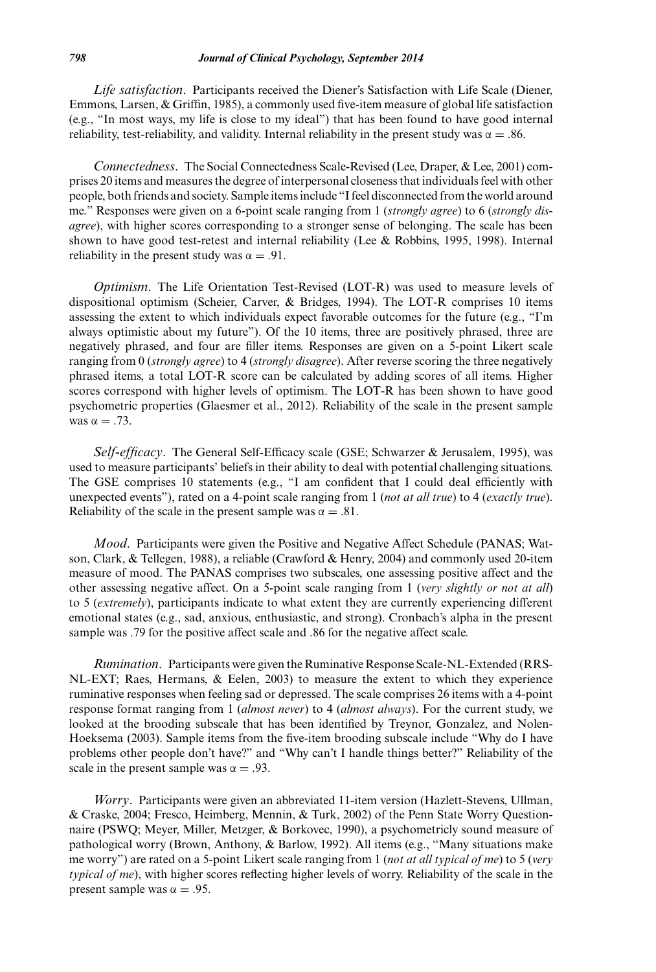#### *798 Journal of Clinical Psychology, September 2014*

*Life satisfaction*. Participants received the Diener's Satisfaction with Life Scale (Diener, Emmons, Larsen, & Griffin, 1985), a commonly used five-item measure of global life satisfaction (e.g., "In most ways, my life is close to my ideal") that has been found to have good internal reliability, test-reliability, and validity. Internal reliability in the present study was  $\alpha = .86$ .

*Connectedness*. The Social Connectedness Scale-Revised (Lee, Draper, & Lee, 2001) comprises 20 items and measures the degree of interpersonal closeness that individuals feel with other people, both friends and society. Sample items include "I feel disconnected from the world around me." Responses were given on a 6-point scale ranging from 1 (*strongly agree*) to 6 (*strongly disagree*), with higher scores corresponding to a stronger sense of belonging. The scale has been shown to have good test-retest and internal reliability (Lee & Robbins, 1995, 1998). Internal reliability in the present study was  $\alpha = .91$ .

*Optimism*. The Life Orientation Test-Revised (LOT-R) was used to measure levels of dispositional optimism (Scheier, Carver, & Bridges, 1994). The LOT-R comprises 10 items assessing the extent to which individuals expect favorable outcomes for the future (e.g., "I'm always optimistic about my future"). Of the 10 items, three are positively phrased, three are negatively phrased, and four are filler items. Responses are given on a 5-point Likert scale ranging from 0 (*strongly agree*) to 4 (*strongly disagree*). After reverse scoring the three negatively phrased items, a total LOT-R score can be calculated by adding scores of all items. Higher scores correspond with higher levels of optimism. The LOT-R has been shown to have good psychometric properties (Glaesmer et al., 2012). Reliability of the scale in the present sample was  $\alpha = .73$ .

*Self-efficacy*. The General Self-Efficacy scale (GSE; Schwarzer & Jerusalem, 1995), was used to measure participants' beliefs in their ability to deal with potential challenging situations. The GSE comprises 10 statements (e.g., "I am confident that I could deal efficiently with unexpected events"), rated on a 4-point scale ranging from 1 (*not at all true*) to 4 (*exactly true*). Reliability of the scale in the present sample was  $\alpha = .81$ .

*Mood*. Participants were given the Positive and Negative Affect Schedule (PANAS; Watson, Clark, & Tellegen, 1988), a reliable (Crawford & Henry, 2004) and commonly used 20-item measure of mood. The PANAS comprises two subscales, one assessing positive affect and the other assessing negative affect. On a 5-point scale ranging from 1 (*very slightly or not at all*) to 5 (*extremely*), participants indicate to what extent they are currently experiencing different emotional states (e.g., sad, anxious, enthusiastic, and strong). Cronbach's alpha in the present sample was .79 for the positive affect scale and .86 for the negative affect scale.

*Rumination*. Participants were given the Ruminative Response Scale-NL-Extended (RRS-NL-EXT; Raes, Hermans, & Eelen, 2003) to measure the extent to which they experience ruminative responses when feeling sad or depressed. The scale comprises 26 items with a 4-point response format ranging from 1 (*almost never*) to 4 (*almost always*). For the current study, we looked at the brooding subscale that has been identified by Treynor, Gonzalez, and Nolen-Hoeksema (2003). Sample items from the five-item brooding subscale include "Why do I have problems other people don't have?" and "Why can't I handle things better?" Reliability of the scale in the present sample was  $\alpha = .93$ .

*Worry*. Participants were given an abbreviated 11-item version (Hazlett-Stevens, Ullman, & Craske, 2004; Fresco, Heimberg, Mennin, & Turk, 2002) of the Penn State Worry Questionnaire (PSWQ; Meyer, Miller, Metzger, & Borkovec, 1990), a psychometricly sound measure of pathological worry (Brown, Anthony, & Barlow, 1992). All items (e.g., "Many situations make me worry") are rated on a 5-point Likert scale ranging from 1 (*not at all typical of me*) to 5 (*very typical of me*), with higher scores reflecting higher levels of worry. Reliability of the scale in the present sample was  $\alpha = .95$ .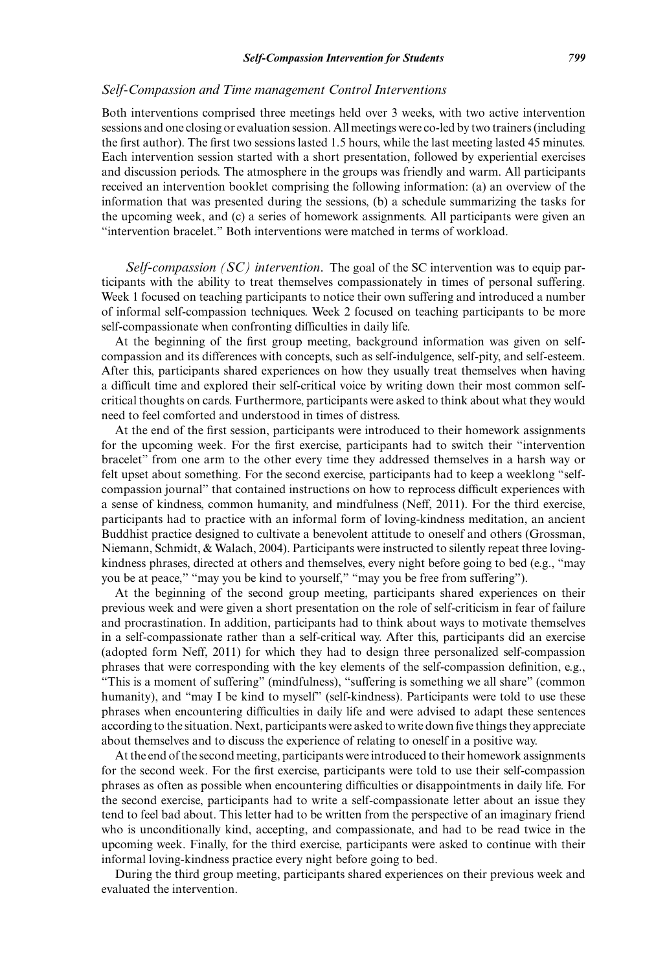#### *Self-Compassion and Time management Control Interventions*

Both interventions comprised three meetings held over 3 weeks, with two active intervention sessions and one closing or evaluation session. All meetings were co-led by two trainers (including the first author). The first two sessions lasted 1.5 hours, while the last meeting lasted 45 minutes. Each intervention session started with a short presentation, followed by experiential exercises and discussion periods. The atmosphere in the groups was friendly and warm. All participants received an intervention booklet comprising the following information: (a) an overview of the information that was presented during the sessions, (b) a schedule summarizing the tasks for the upcoming week, and (c) a series of homework assignments. All participants were given an "intervention bracelet." Both interventions were matched in terms of workload.

*Self-compassion (SC) intervention*. The goal of the SC intervention was to equip participants with the ability to treat themselves compassionately in times of personal suffering. Week 1 focused on teaching participants to notice their own suffering and introduced a number of informal self-compassion techniques. Week 2 focused on teaching participants to be more self-compassionate when confronting difficulties in daily life.

At the beginning of the first group meeting, background information was given on selfcompassion and its differences with concepts, such as self-indulgence, self-pity, and self-esteem. After this, participants shared experiences on how they usually treat themselves when having a difficult time and explored their self-critical voice by writing down their most common selfcritical thoughts on cards. Furthermore, participants were asked to think about what they would need to feel comforted and understood in times of distress.

At the end of the first session, participants were introduced to their homework assignments for the upcoming week. For the first exercise, participants had to switch their "intervention bracelet" from one arm to the other every time they addressed themselves in a harsh way or felt upset about something. For the second exercise, participants had to keep a weeklong "selfcompassion journal" that contained instructions on how to reprocess difficult experiences with a sense of kindness, common humanity, and mindfulness (Neff, 2011). For the third exercise, participants had to practice with an informal form of loving-kindness meditation, an ancient Buddhist practice designed to cultivate a benevolent attitude to oneself and others (Grossman, Niemann, Schmidt, & Walach, 2004). Participants were instructed to silently repeat three lovingkindness phrases, directed at others and themselves, every night before going to bed (e.g., "may you be at peace," "may you be kind to yourself," "may you be free from suffering").

At the beginning of the second group meeting, participants shared experiences on their previous week and were given a short presentation on the role of self-criticism in fear of failure and procrastination. In addition, participants had to think about ways to motivate themselves in a self-compassionate rather than a self-critical way. After this, participants did an exercise (adopted form Neff, 2011) for which they had to design three personalized self-compassion phrases that were corresponding with the key elements of the self-compassion definition, e.g., "This is a moment of suffering" (mindfulness), "suffering is something we all share" (common humanity), and "may I be kind to myself" (self-kindness). Participants were told to use these phrases when encountering difficulties in daily life and were advised to adapt these sentences according to the situation. Next, participants were asked to write down five things they appreciate about themselves and to discuss the experience of relating to oneself in a positive way.

At the end of the second meeting, participants were introduced to their homework assignments for the second week. For the first exercise, participants were told to use their self-compassion phrases as often as possible when encountering difficulties or disappointments in daily life. For the second exercise, participants had to write a self-compassionate letter about an issue they tend to feel bad about. This letter had to be written from the perspective of an imaginary friend who is unconditionally kind, accepting, and compassionate, and had to be read twice in the upcoming week. Finally, for the third exercise, participants were asked to continue with their informal loving-kindness practice every night before going to bed.

During the third group meeting, participants shared experiences on their previous week and evaluated the intervention.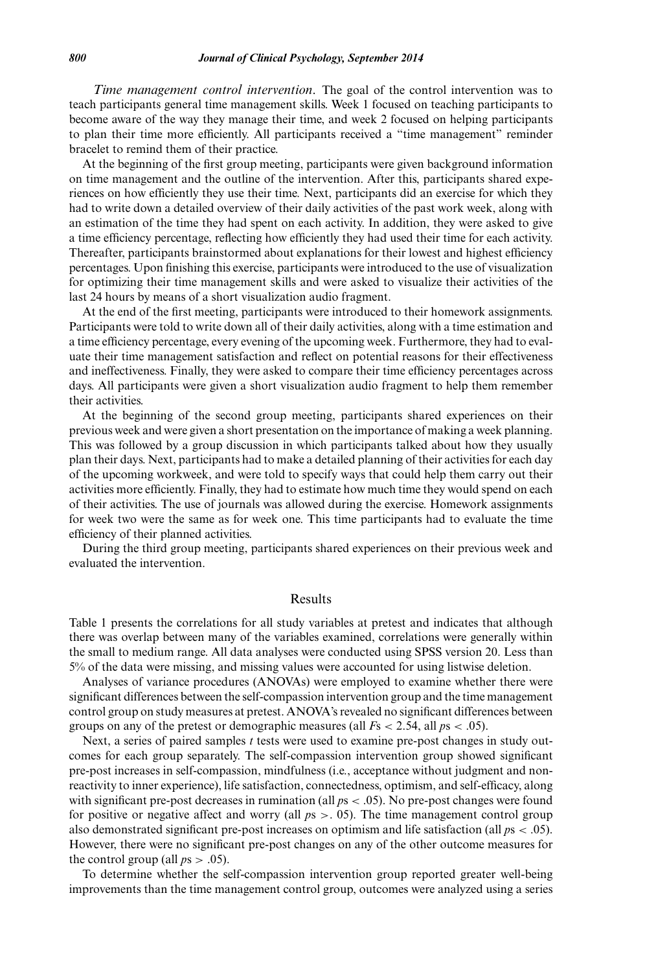*Time management control intervention*. The goal of the control intervention was to teach participants general time management skills. Week 1 focused on teaching participants to become aware of the way they manage their time, and week 2 focused on helping participants to plan their time more efficiently. All participants received a "time management" reminder bracelet to remind them of their practice.

At the beginning of the first group meeting, participants were given background information on time management and the outline of the intervention. After this, participants shared experiences on how efficiently they use their time. Next, participants did an exercise for which they had to write down a detailed overview of their daily activities of the past work week, along with an estimation of the time they had spent on each activity. In addition, they were asked to give a time efficiency percentage, reflecting how efficiently they had used their time for each activity. Thereafter, participants brainstormed about explanations for their lowest and highest efficiency percentages. Upon finishing this exercise, participants were introduced to the use of visualization for optimizing their time management skills and were asked to visualize their activities of the last 24 hours by means of a short visualization audio fragment.

At the end of the first meeting, participants were introduced to their homework assignments. Participants were told to write down all of their daily activities, along with a time estimation and a time efficiency percentage, every evening of the upcoming week. Furthermore, they had to evaluate their time management satisfaction and reflect on potential reasons for their effectiveness and ineffectiveness. Finally, they were asked to compare their time efficiency percentages across days. All participants were given a short visualization audio fragment to help them remember their activities.

At the beginning of the second group meeting, participants shared experiences on their previous week and were given a short presentation on the importance of making a week planning. This was followed by a group discussion in which participants talked about how they usually plan their days. Next, participants had to make a detailed planning of their activities for each day of the upcoming workweek, and were told to specify ways that could help them carry out their activities more efficiently. Finally, they had to estimate how much time they would spend on each of their activities. The use of journals was allowed during the exercise. Homework assignments for week two were the same as for week one. This time participants had to evaluate the time efficiency of their planned activities.

During the third group meeting, participants shared experiences on their previous week and evaluated the intervention.

#### Results

Table 1 presents the correlations for all study variables at pretest and indicates that although there was overlap between many of the variables examined, correlations were generally within the small to medium range. All data analyses were conducted using SPSS version 20. Less than 5% of the data were missing, and missing values were accounted for using listwise deletion.

Analyses of variance procedures (ANOVAs) were employed to examine whether there were significant differences between the self-compassion intervention group and the time management control group on study measures at pretest. ANOVA's revealed no significant differences between groups on any of the pretest or demographic measures (all *F*s < 2.54, all *p*s < .05).

Next, a series of paired samples *t* tests were used to examine pre-post changes in study outcomes for each group separately. The self-compassion intervention group showed significant pre-post increases in self-compassion, mindfulness (i.e., acceptance without judgment and nonreactivity to inner experience), life satisfaction, connectedness, optimism, and self-efficacy, along with significant pre-post decreases in rumination (all  $ps < .05$ ). No pre-post changes were found for positive or negative affect and worry (all *p*s >. 05). The time management control group also demonstrated significant pre-post increases on optimism and life satisfaction (all *p*s < .05). However, there were no significant pre-post changes on any of the other outcome measures for the control group (all  $ps > .05$ ).

To determine whether the self-compassion intervention group reported greater well-being improvements than the time management control group, outcomes were analyzed using a series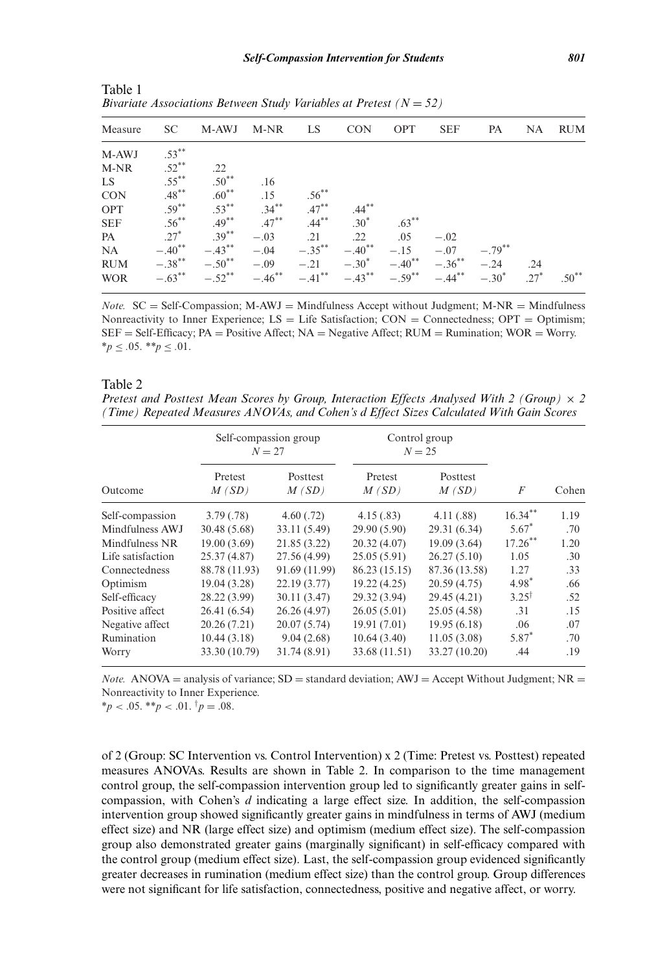| Measure    | SC                   | M-AWJ     | $M-NR$    | LS        | <b>CON</b>           | <b>OPT</b>           | <b>SEF</b> | РA        | NA.    | <b>RUM</b> |
|------------|----------------------|-----------|-----------|-----------|----------------------|----------------------|------------|-----------|--------|------------|
| M-AWJ      | $.53***$             |           |           |           |                      |                      |            |           |        |            |
| M-NR       | $.52***$             | .22       |           |           |                      |                      |            |           |        |            |
| LS.        | $.55***$             | $.50***$  | .16       |           |                      |                      |            |           |        |            |
| <b>CON</b> | $.48***$             | $.60***$  | .15       | $.56***$  |                      |                      |            |           |        |            |
| <b>OPT</b> | $.59***$             | $.53***$  | $.34***$  | $.47***$  | $.44***$             |                      |            |           |        |            |
| <b>SEF</b> | $.56***$             | $.49***$  | $.47***$  | $.44***$  | $.30*$               | $.63***$             |            |           |        |            |
| PA         | $.27*$               | $.39***$  | $-.03$    | .21       | .22                  | .05                  | $-.02$     |           |        |            |
| <b>NA</b>  | $-.40$ <sup>**</sup> | $-.43***$ | $-.04$    | $-.35***$ | $-.40$ <sup>**</sup> | $-.15$               | $-.07$     | $-.79***$ |        |            |
| <b>RUM</b> | $-.38***$            | $-.50**$  | $-.09$    | $-.21$    | $-.30^*$             | $-.40$ <sup>**</sup> | $-.36***$  | $-.24$    | .24    |            |
| <b>WOR</b> | $-.63***$            | $-.52***$ | $-.46***$ | $-.41***$ | $-.43***$            | $-.59***$            | $-.44***$  | $-.30^*$  | $.27*$ | $.50***$   |

Table 1 *Bivariate Associations Between Study Variables at Pretest*  $(N = 52)$ 

*Note.*  $SC = Self-Comparison$ ;  $M-AWJ = Mindfulness$  *Accept without Judgment*;  $M-NR = Mindfulness$ Nonreactivity to Inner Experience;  $LS = Life$  Satisfaction;  $CON = Connectedness$ ;  $OPT = Optimism$ ;  $SEF = Self-Efficacy$ ;  $PA = Positive After$ ;  $NA = Negative After$ ;  $RUM = Rumination$ ;  $WOR = Worr$ .  $*_{p} \leq .05.$   $*_{p} \leq .01.$ 

#### Table 2

*Pretest and Posttest Mean Scores by Group, Interaction Effects Analysed With 2 (Group)*  $\times$  2 *(Time) Repeated Measures ANOVAs, and Cohen's d Effect Sizes Calculated With Gain Scores*

|                   |                  | Self-compassion group<br>$N = 27$ | Control group<br>$N = 25$ |                   |                  |       |
|-------------------|------------------|-----------------------------------|---------------------------|-------------------|------------------|-------|
| Outcome           | Pretest<br>M(SD) | Posttest<br>M(SD)                 | Pretest<br>M(SD)          | Posttest<br>M(SD) | F                | Cohen |
| Self-compassion   | 3.79(0.78)       | 4.60(0.72)                        | 4.15(.83)                 | 4.11(.88)         | $16.34***$       | 1.19  |
| Mindfulness AWJ   | 30.48(5.68)      | 33.11 (5.49)                      | 29.90 (5.90)              | 29.31 (6.34)      | $5.67*$          | .70   |
| Mindfulness NR    | 19.00(3.69)      | 21.85(3.22)                       | 20.32(4.07)               | 19.09(3.64)       | $17.26***$       | 1.20  |
| Life satisfaction | 25.37(4.87)      | 27.56 (4.99)                      | 25.05(5.91)               | 26.27(5.10)       | 1.05             | .30   |
| Connectedness     | 88.78 (11.93)    | 91.69 (11.99)                     | 86.23 (15.15)             | 87.36 (13.58)     | 1.27             | .33   |
| Optimism          | 19.04(3.28)      | 22.19(3.77)                       | 19.22(4.25)               | 20.59(4.75)       | $4.98*$          | .66   |
| Self-efficacy     | 28.22 (3.99)     | 30.11(3.47)                       | 29.32 (3.94)              | 29.45 (4.21)      | $3.25^{\dagger}$ | .52   |
| Positive affect   | 26.41 (6.54)     | 26.26 (4.97)                      | 26.05(5.01)               | 25.05(4.58)       | .31              | .15   |
| Negative affect   | 20.26(7.21)      | 20.07(5.74)                       | 19.91(7.01)               | 19.95(6.18)       | .06              | .07   |
| Rumination        | 10.44(3.18)      | 9.04(2.68)                        | 10.64(3.40)               | 11.05(3.08)       | $5.87*$          | .70   |
| Worry             | 33.30 (10.79)    | 31.74 (8.91)                      | 33.68 (11.51)             | 33.27 (10.20)     | .44              | .19   |

*Note.* ANOVA = analysis of variance;  $SD =$  standard deviation;  $AWJ =$  Accept Without Judgment;  $NR =$ Nonreactivity to Inner Experience.

 $*_{p}$  < .05.  $*_{p}$  < .01.  $\dagger_{p}$  = .08.

of 2 (Group: SC Intervention vs. Control Intervention) x 2 (Time: Pretest vs. Posttest) repeated measures ANOVAs. Results are shown in Table 2. In comparison to the time management control group, the self-compassion intervention group led to significantly greater gains in selfcompassion, with Cohen's *d* indicating a large effect size. In addition, the self-compassion intervention group showed significantly greater gains in mindfulness in terms of AWJ (medium effect size) and NR (large effect size) and optimism (medium effect size). The self-compassion group also demonstrated greater gains (marginally significant) in self-efficacy compared with the control group (medium effect size). Last, the self-compassion group evidenced significantly greater decreases in rumination (medium effect size) than the control group. Group differences were not significant for life satisfaction, connectedness, positive and negative affect, or worry.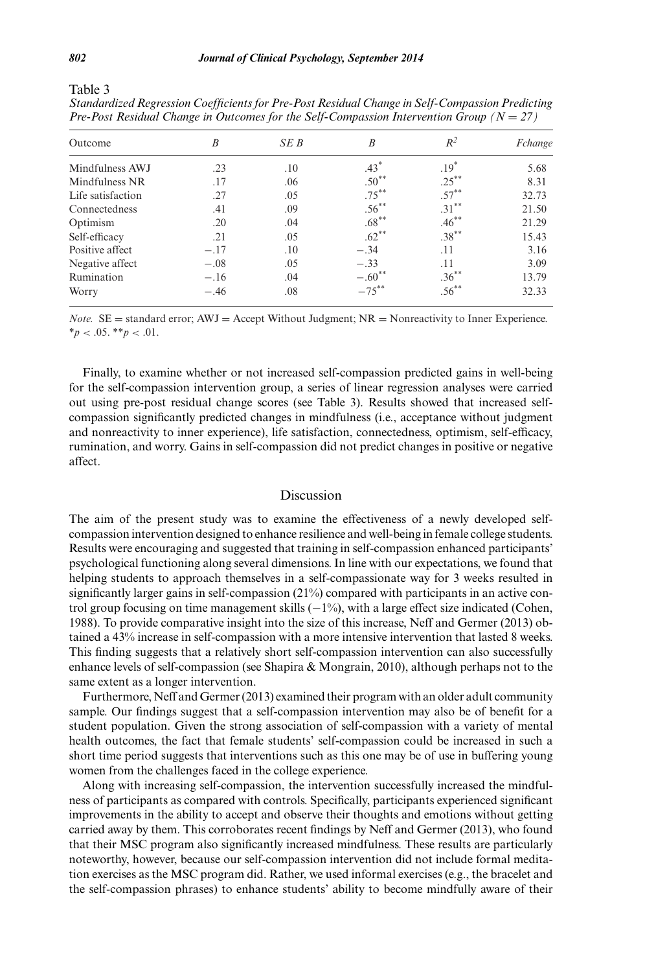Table 3

| Outcome           | B      | SE B | B        | $R^2$    | Fchange |
|-------------------|--------|------|----------|----------|---------|
| Mindfulness AWJ   | .23    | .10  | $.43*$   | $.19*$   | 5.68    |
| Mindfulness NR    | .17    | .06  | $.50**$  | $.25***$ | 8.31    |
| Life satisfaction | .27    | .05  | $.75***$ | $.57***$ | 32.73   |
| Connectedness     | .41    | .09  | $.56***$ | $.31***$ | 21.50   |
| Optimism          | .20    | .04  | $.68***$ | $.46***$ | 21.29   |
| Self-efficacy     | .21    | .05  | $.62***$ | $.38***$ | 15.43   |
| Positive affect   | $-.17$ | .10  | $-.34$   | .11      | 3.16    |
| Negative affect   | $-.08$ | .05  | $-.33$   | .11      | 3.09    |
| Rumination        | $-.16$ | .04  | $-.60**$ | $.36***$ | 13.79   |
| Worry             | $-.46$ | .08  | $-75***$ | $.56***$ | 32.33   |

*Standardized Regression Coefficients for Pre-Post Residual Change in Self-Compassion Predicting Pre-Post Residual Change in Outcomes for the Self-Compassion Intervention Group (N = 27)* 

*Note.*  $SE =$  standard error;  $AWJ =$  Accept Without Judgment;  $NR =$  Nonreactivity to Inner Experience.  $**p* < .05. ***p* < .01.$ 

Finally, to examine whether or not increased self-compassion predicted gains in well-being for the self-compassion intervention group, a series of linear regression analyses were carried out using pre-post residual change scores (see Table 3). Results showed that increased selfcompassion significantly predicted changes in mindfulness (i.e., acceptance without judgment and nonreactivity to inner experience), life satisfaction, connectedness, optimism, self-efficacy, rumination, and worry. Gains in self-compassion did not predict changes in positive or negative affect.

#### Discussion

The aim of the present study was to examine the effectiveness of a newly developed selfcompassion intervention designed to enhance resilience and well-being in female college students. Results were encouraging and suggested that training in self-compassion enhanced participants' psychological functioning along several dimensions. In line with our expectations, we found that helping students to approach themselves in a self-compassionate way for 3 weeks resulted in significantly larger gains in self-compassion (21%) compared with participants in an active control group focusing on time management skills  $(-1\%)$ , with a large effect size indicated (Cohen, 1988). To provide comparative insight into the size of this increase, Neff and Germer (2013) obtained a 43% increase in self-compassion with a more intensive intervention that lasted 8 weeks. This finding suggests that a relatively short self-compassion intervention can also successfully enhance levels of self-compassion (see Shapira & Mongrain, 2010), although perhaps not to the same extent as a longer intervention.

Furthermore, Neff and Germer (2013) examined their program with an older adult community sample. Our findings suggest that a self-compassion intervention may also be of benefit for a student population. Given the strong association of self-compassion with a variety of mental health outcomes, the fact that female students' self-compassion could be increased in such a short time period suggests that interventions such as this one may be of use in buffering young women from the challenges faced in the college experience.

Along with increasing self-compassion, the intervention successfully increased the mindfulness of participants as compared with controls. Specifically, participants experienced significant improvements in the ability to accept and observe their thoughts and emotions without getting carried away by them. This corroborates recent findings by Neff and Germer (2013), who found that their MSC program also significantly increased mindfulness. These results are particularly noteworthy, however, because our self-compassion intervention did not include formal meditation exercises as the MSC program did. Rather, we used informal exercises (e.g., the bracelet and the self-compassion phrases) to enhance students' ability to become mindfully aware of their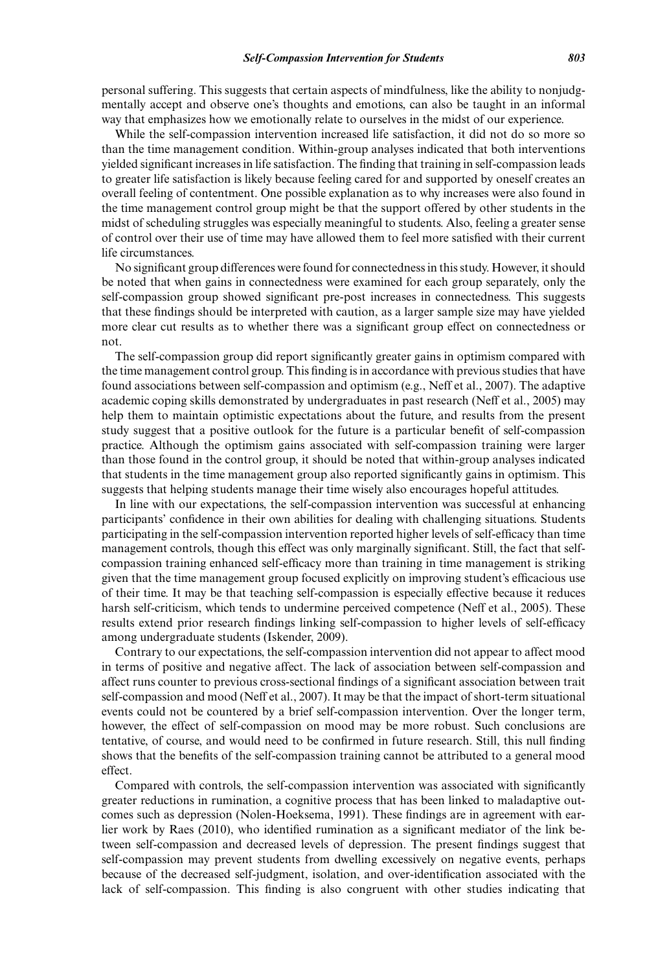personal suffering. This suggests that certain aspects of mindfulness, like the ability to nonjudgmentally accept and observe one's thoughts and emotions, can also be taught in an informal way that emphasizes how we emotionally relate to ourselves in the midst of our experience.

While the self-compassion intervention increased life satisfaction, it did not do so more so than the time management condition. Within-group analyses indicated that both interventions yielded significant increases in life satisfaction. The finding that training in self-compassion leads to greater life satisfaction is likely because feeling cared for and supported by oneself creates an overall feeling of contentment. One possible explanation as to why increases were also found in the time management control group might be that the support offered by other students in the midst of scheduling struggles was especially meaningful to students. Also, feeling a greater sense of control over their use of time may have allowed them to feel more satisfied with their current life circumstances.

No significant group differences were found for connectedness in this study. However, it should be noted that when gains in connectedness were examined for each group separately, only the self-compassion group showed significant pre-post increases in connectedness. This suggests that these findings should be interpreted with caution, as a larger sample size may have yielded more clear cut results as to whether there was a significant group effect on connectedness or not.

The self-compassion group did report significantly greater gains in optimism compared with the time management control group. This finding is in accordance with previous studies that have found associations between self-compassion and optimism (e.g., Neff et al., 2007). The adaptive academic coping skills demonstrated by undergraduates in past research (Neff et al., 2005) may help them to maintain optimistic expectations about the future, and results from the present study suggest that a positive outlook for the future is a particular benefit of self-compassion practice. Although the optimism gains associated with self-compassion training were larger than those found in the control group, it should be noted that within-group analyses indicated that students in the time management group also reported significantly gains in optimism. This suggests that helping students manage their time wisely also encourages hopeful attitudes.

In line with our expectations, the self-compassion intervention was successful at enhancing participants' confidence in their own abilities for dealing with challenging situations. Students participating in the self-compassion intervention reported higher levels of self-efficacy than time management controls, though this effect was only marginally significant. Still, the fact that selfcompassion training enhanced self-efficacy more than training in time management is striking given that the time management group focused explicitly on improving student's efficacious use of their time. It may be that teaching self-compassion is especially effective because it reduces harsh self-criticism, which tends to undermine perceived competence (Neff et al., 2005). These results extend prior research findings linking self-compassion to higher levels of self-efficacy among undergraduate students (Iskender, 2009).

Contrary to our expectations, the self-compassion intervention did not appear to affect mood in terms of positive and negative affect. The lack of association between self-compassion and affect runs counter to previous cross-sectional findings of a significant association between trait self-compassion and mood (Neff et al., 2007). It may be that the impact of short-term situational events could not be countered by a brief self-compassion intervention. Over the longer term, however, the effect of self-compassion on mood may be more robust. Such conclusions are tentative, of course, and would need to be confirmed in future research. Still, this null finding shows that the benefits of the self-compassion training cannot be attributed to a general mood effect.

Compared with controls, the self-compassion intervention was associated with significantly greater reductions in rumination, a cognitive process that has been linked to maladaptive outcomes such as depression (Nolen-Hoeksema, 1991). These findings are in agreement with earlier work by Raes (2010), who identified rumination as a significant mediator of the link between self-compassion and decreased levels of depression. The present findings suggest that self-compassion may prevent students from dwelling excessively on negative events, perhaps because of the decreased self-judgment, isolation, and over-identification associated with the lack of self-compassion. This finding is also congruent with other studies indicating that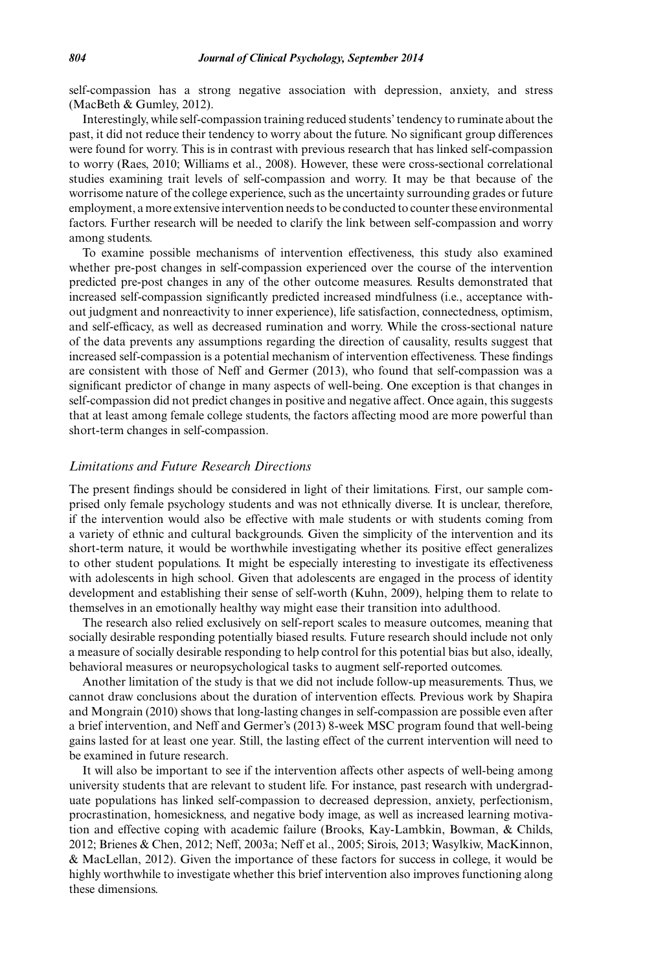self-compassion has a strong negative association with depression, anxiety, and stress (MacBeth & Gumley, 2012).

Interestingly, while self-compassion training reduced students' tendency to ruminate about the past, it did not reduce their tendency to worry about the future. No significant group differences were found for worry. This is in contrast with previous research that has linked self-compassion to worry (Raes, 2010; Williams et al., 2008). However, these were cross-sectional correlational studies examining trait levels of self-compassion and worry. It may be that because of the worrisome nature of the college experience, such as the uncertainty surrounding grades or future employment, a more extensive intervention needs to be conducted to counter these environmental factors. Further research will be needed to clarify the link between self-compassion and worry among students.

To examine possible mechanisms of intervention effectiveness, this study also examined whether pre-post changes in self-compassion experienced over the course of the intervention predicted pre-post changes in any of the other outcome measures. Results demonstrated that increased self-compassion significantly predicted increased mindfulness (i.e., acceptance without judgment and nonreactivity to inner experience), life satisfaction, connectedness, optimism, and self-efficacy, as well as decreased rumination and worry. While the cross-sectional nature of the data prevents any assumptions regarding the direction of causality, results suggest that increased self-compassion is a potential mechanism of intervention effectiveness. These findings are consistent with those of Neff and Germer (2013), who found that self-compassion was a significant predictor of change in many aspects of well-being. One exception is that changes in self-compassion did not predict changes in positive and negative affect. Once again, this suggests that at least among female college students, the factors affecting mood are more powerful than short-term changes in self-compassion.

#### *Limitations and Future Research Directions*

The present findings should be considered in light of their limitations. First, our sample comprised only female psychology students and was not ethnically diverse. It is unclear, therefore, if the intervention would also be effective with male students or with students coming from a variety of ethnic and cultural backgrounds. Given the simplicity of the intervention and its short-term nature, it would be worthwhile investigating whether its positive effect generalizes to other student populations. It might be especially interesting to investigate its effectiveness with adolescents in high school. Given that adolescents are engaged in the process of identity development and establishing their sense of self-worth (Kuhn, 2009), helping them to relate to themselves in an emotionally healthy way might ease their transition into adulthood.

The research also relied exclusively on self-report scales to measure outcomes, meaning that socially desirable responding potentially biased results. Future research should include not only a measure of socially desirable responding to help control for this potential bias but also, ideally, behavioral measures or neuropsychological tasks to augment self-reported outcomes.

Another limitation of the study is that we did not include follow-up measurements. Thus, we cannot draw conclusions about the duration of intervention effects. Previous work by Shapira and Mongrain (2010) shows that long-lasting changes in self-compassion are possible even after a brief intervention, and Neff and Germer's (2013) 8-week MSC program found that well-being gains lasted for at least one year. Still, the lasting effect of the current intervention will need to be examined in future research.

It will also be important to see if the intervention affects other aspects of well-being among university students that are relevant to student life. For instance, past research with undergraduate populations has linked self-compassion to decreased depression, anxiety, perfectionism, procrastination, homesickness, and negative body image, as well as increased learning motivation and effective coping with academic failure (Brooks, Kay-Lambkin, Bowman, & Childs, 2012; Brienes & Chen, 2012; Neff, 2003a; Neff et al., 2005; Sirois, 2013; Wasylkiw, MacKinnon, & MacLellan, 2012). Given the importance of these factors for success in college, it would be highly worthwhile to investigate whether this brief intervention also improves functioning along these dimensions.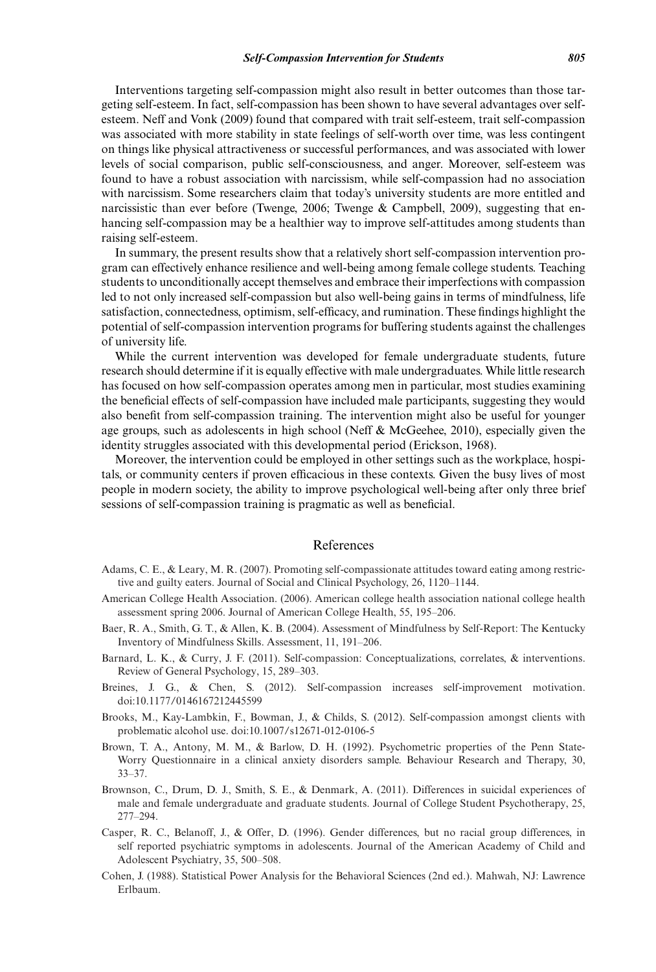Interventions targeting self-compassion might also result in better outcomes than those targeting self-esteem. In fact, self-compassion has been shown to have several advantages over selfesteem. Neff and Vonk (2009) found that compared with trait self-esteem, trait self-compassion was associated with more stability in state feelings of self-worth over time, was less contingent on things like physical attractiveness or successful performances, and was associated with lower levels of social comparison, public self-consciousness, and anger. Moreover, self-esteem was found to have a robust association with narcissism, while self-compassion had no association with narcissism. Some researchers claim that today's university students are more entitled and narcissistic than ever before (Twenge, 2006; Twenge & Campbell, 2009), suggesting that enhancing self-compassion may be a healthier way to improve self-attitudes among students than raising self-esteem.

In summary, the present results show that a relatively short self-compassion intervention program can effectively enhance resilience and well-being among female college students. Teaching students to unconditionally accept themselves and embrace their imperfections with compassion led to not only increased self-compassion but also well-being gains in terms of mindfulness, life satisfaction, connectedness, optimism, self-efficacy, and rumination. These findings highlight the potential of self-compassion intervention programs for buffering students against the challenges of university life.

While the current intervention was developed for female undergraduate students, future research should determine if it is equally effective with male undergraduates. While little research has focused on how self-compassion operates among men in particular, most studies examining the beneficial effects of self-compassion have included male participants, suggesting they would also benefit from self-compassion training. The intervention might also be useful for younger age groups, such as adolescents in high school (Neff & McGeehee, 2010), especially given the identity struggles associated with this developmental period (Erickson, 1968).

Moreover, the intervention could be employed in other settings such as the workplace, hospitals, or community centers if proven efficacious in these contexts. Given the busy lives of most people in modern society, the ability to improve psychological well-being after only three brief sessions of self-compassion training is pragmatic as well as beneficial.

#### References

- Adams, C. E., & Leary, M. R. (2007). Promoting self-compassionate attitudes toward eating among restrictive and guilty eaters. Journal of Social and Clinical Psychology, 26, 1120–1144.
- American College Health Association. (2006). American college health association national college health assessment spring 2006. Journal of American College Health, 55, 195–206.
- Baer, R. A., Smith, G. T., & Allen, K. B. (2004). Assessment of Mindfulness by Self-Report: The Kentucky Inventory of Mindfulness Skills. Assessment, 11, 191–206.
- Barnard, L. K., & Curry, J. F. (2011). Self-compassion: Conceptualizations, correlates, & interventions. Review of General Psychology, 15, 289–303.
- Breines, J. G., & Chen, S. (2012). Self-compassion increases self-improvement motivation. doi:10.1177/0146167212445599
- Brooks, M., Kay-Lambkin, F., Bowman, J., & Childs, S. (2012). Self-compassion amongst clients with problematic alcohol use. doi:10.1007/s12671-012-0106-5
- Brown, T. A., Antony, M. M., & Barlow, D. H. (1992). Psychometric properties of the Penn State-Worry Questionnaire in a clinical anxiety disorders sample. Behaviour Research and Therapy, 30, 33–37.
- Brownson, C., Drum, D. J., Smith, S. E., & Denmark, A. (2011). Differences in suicidal experiences of male and female undergraduate and graduate students. Journal of College Student Psychotherapy, 25, 277–294.
- Casper, R. C., Belanoff, J., & Offer, D. (1996). Gender differences, but no racial group differences, in self reported psychiatric symptoms in adolescents. Journal of the American Academy of Child and Adolescent Psychiatry, 35, 500–508.
- Cohen, J. (1988). Statistical Power Analysis for the Behavioral Sciences (2nd ed.). Mahwah, NJ: Lawrence Erlbaum.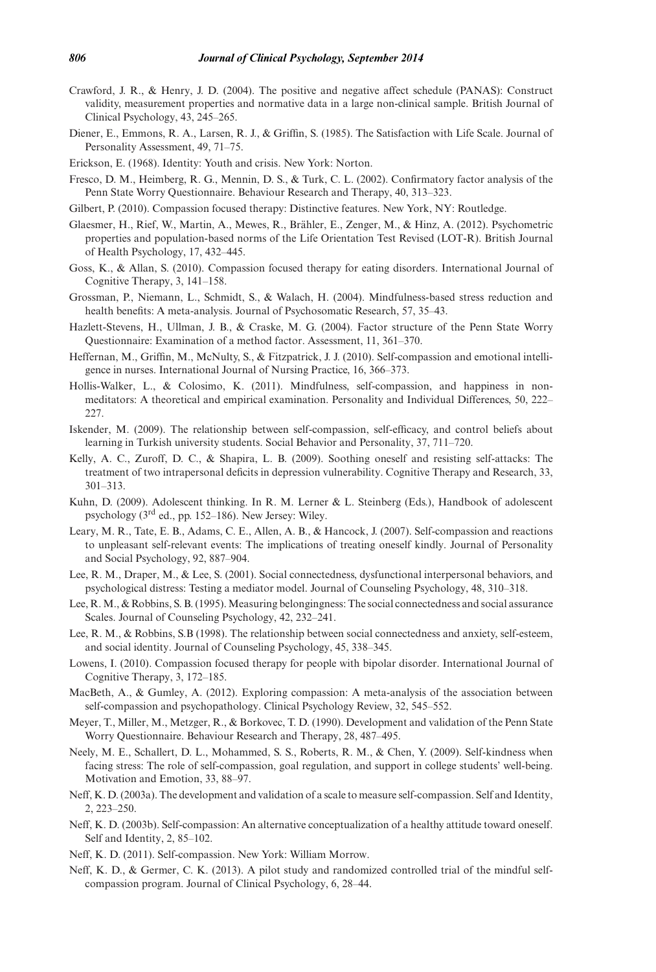- Crawford, J. R., & Henry, J. D. (2004). The positive and negative affect schedule (PANAS): Construct validity, measurement properties and normative data in a large non-clinical sample. British Journal of Clinical Psychology, 43, 245–265.
- Diener, E., Emmons, R. A., Larsen, R. J., & Griffin, S. (1985). The Satisfaction with Life Scale. Journal of Personality Assessment, 49, 71–75.
- Erickson, E. (1968). Identity: Youth and crisis. New York: Norton.
- Fresco, D. M., Heimberg, R. G., Mennin, D. S., & Turk, C. L. (2002). Confirmatory factor analysis of the Penn State Worry Questionnaire. Behaviour Research and Therapy, 40, 313–323.
- Gilbert, P. (2010). Compassion focused therapy: Distinctive features. New York, NY: Routledge.
- Glaesmer, H., Rief, W., Martin, A., Mewes, R., Brahler, E., Zenger, M., & Hinz, A. (2012). Psychometric ¨ properties and population-based norms of the Life Orientation Test Revised (LOT-R). British Journal of Health Psychology, 17, 432–445.
- Goss, K., & Allan, S. (2010). Compassion focused therapy for eating disorders. International Journal of Cognitive Therapy, 3, 141–158.
- Grossman, P., Niemann, L., Schmidt, S., & Walach, H. (2004). Mindfulness-based stress reduction and health benefits: A meta-analysis. Journal of Psychosomatic Research, 57, 35–43.
- Hazlett-Stevens, H., Ullman, J. B., & Craske, M. G. (2004). Factor structure of the Penn State Worry Questionnaire: Examination of a method factor. Assessment, 11, 361–370.
- Heffernan, M., Griffin, M., McNulty, S., & Fitzpatrick, J. J. (2010). Self-compassion and emotional intelligence in nurses. International Journal of Nursing Practice, 16, 366–373.
- Hollis-Walker, L., & Colosimo, K. (2011). Mindfulness, self-compassion, and happiness in nonmeditators: A theoretical and empirical examination. Personality and Individual Differences, 50, 222– 227.
- Iskender, M. (2009). The relationship between self-compassion, self-efficacy, and control beliefs about learning in Turkish university students. Social Behavior and Personality, 37, 711–720.
- Kelly, A. C., Zuroff, D. C., & Shapira, L. B. (2009). Soothing oneself and resisting self-attacks: The treatment of two intrapersonal deficits in depression vulnerability. Cognitive Therapy and Research, 33, 301–313.
- Kuhn, D. (2009). Adolescent thinking. In R. M. Lerner & L. Steinberg (Eds.), Handbook of adolescent psychology (3rd ed., pp. 152–186). New Jersey: Wiley.
- Leary, M. R., Tate, E. B., Adams, C. E., Allen, A. B., & Hancock, J. (2007). Self-compassion and reactions to unpleasant self-relevant events: The implications of treating oneself kindly. Journal of Personality and Social Psychology, 92, 887–904.
- Lee, R. M., Draper, M., & Lee, S. (2001). Social connectedness, dysfunctional interpersonal behaviors, and psychological distress: Testing a mediator model. Journal of Counseling Psychology, 48, 310–318.
- Lee, R. M., & Robbins, S. B. (1995). Measuring belongingness: The social connectedness and social assurance Scales. Journal of Counseling Psychology, 42, 232–241.
- Lee, R. M., & Robbins, S.B (1998). The relationship between social connectedness and anxiety, self-esteem, and social identity. Journal of Counseling Psychology, 45, 338–345.
- Lowens, I. (2010). Compassion focused therapy for people with bipolar disorder. International Journal of Cognitive Therapy, 3, 172–185.
- MacBeth, A., & Gumley, A. (2012). Exploring compassion: A meta-analysis of the association between self-compassion and psychopathology. Clinical Psychology Review, 32, 545–552.
- Meyer, T., Miller, M., Metzger, R., & Borkovec, T. D. (1990). Development and validation of the Penn State Worry Questionnaire. Behaviour Research and Therapy, 28, 487–495.
- Neely, M. E., Schallert, D. L., Mohammed, S. S., Roberts, R. M., & Chen, Y. (2009). Self-kindness when facing stress: The role of self-compassion, goal regulation, and support in college students' well-being. Motivation and Emotion, 33, 88–97.
- Neff, K. D. (2003a). The development and validation of a scale to measure self-compassion. Self and Identity, 2, 223–250.
- Neff, K. D. (2003b). Self-compassion: An alternative conceptualization of a healthy attitude toward oneself. Self and Identity, 2, 85–102.
- Neff, K. D. (2011). Self-compassion. New York: William Morrow.
- Neff, K. D., & Germer, C. K. (2013). A pilot study and randomized controlled trial of the mindful selfcompassion program. Journal of Clinical Psychology, 6, 28–44.